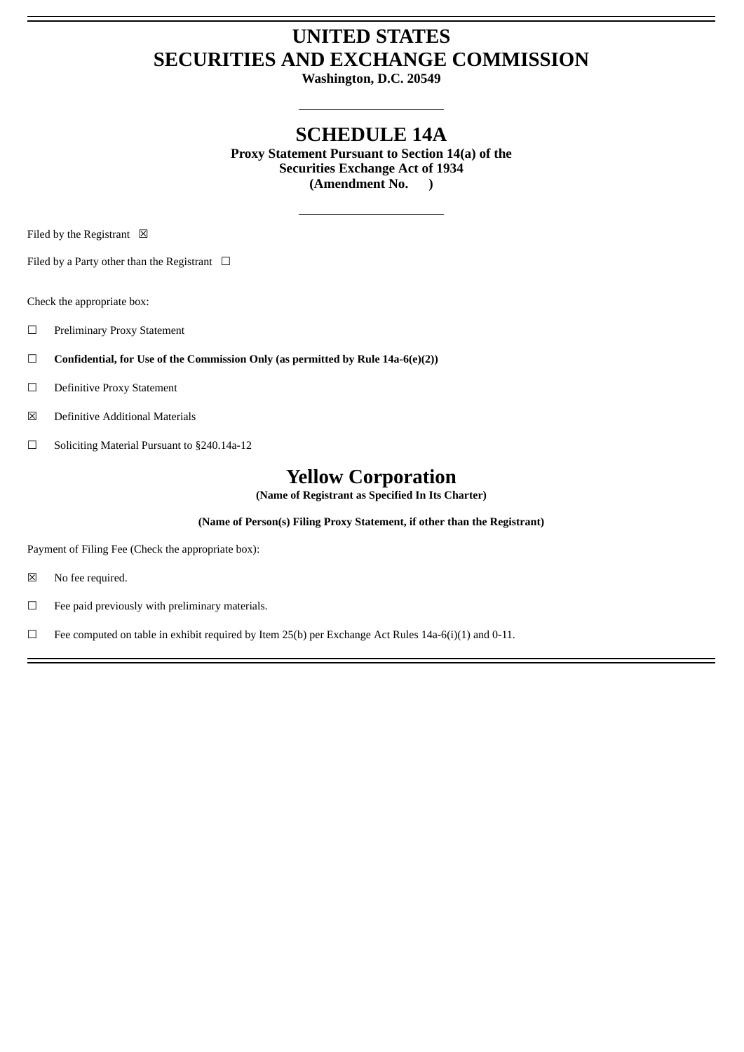## **UNITED STATES SECURITIES AND EXCHANGE COMMISSION**

**Washington, D.C. 20549**

## **SCHEDULE 14A**

**Proxy Statement Pursuant to Section 14(a) of the Securities Exchange Act of 1934 (Amendment No. )**

Filed by the Registrant  $\boxtimes$ 

Filed by a Party other than the Registrant  $\Box$ 

Check the appropriate box:

☐ Preliminary Proxy Statement

☐ **Confidential, for Use of the Commission Only (as permitted by Rule 14a-6(e)(2))**

- ☐ Definitive Proxy Statement
- ☒ Definitive Additional Materials
- ☐ Soliciting Material Pursuant to §240.14a-12

## **Yellow Corporation**

**(Name of Registrant as Specified In Its Charter)**

**(Name of Person(s) Filing Proxy Statement, if other than the Registrant)**

Payment of Filing Fee (Check the appropriate box):

- ☒ No fee required.
- $\Box$  Fee paid previously with preliminary materials.
- ☐ Fee computed on table in exhibit required by Item 25(b) per Exchange Act Rules 14a-6(i)(1) and 0-11.